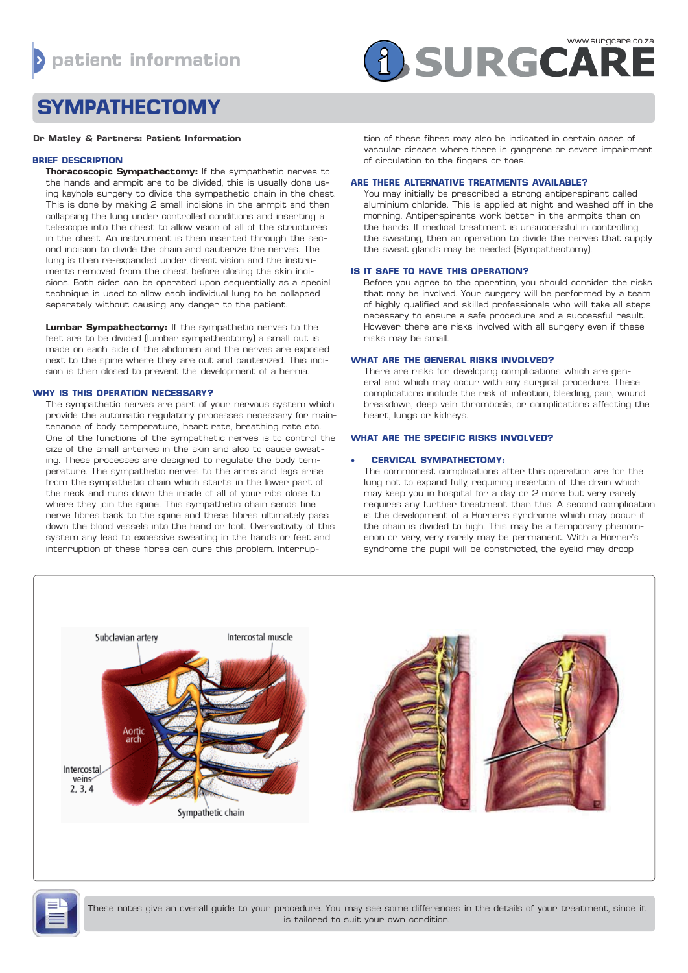

# **SYMPATHECTOMY**

#### **Dr Matley & Partners: Patient Information**

## **BRIEF DESCRIPTION**

**Thoracoscopic Sympathectomy:** If the sympathetic nerves to the hands and armpit are to be divided, this is usually done using keyhole surgery to divide the sympathetic chain in the chest. This is done by making 2 small incisions in the armpit and then collapsing the lung under controlled conditions and inserting a telescope into the chest to allow vision of all of the structures in the chest. An instrument is then inserted through the second incision to divide the chain and cauterize the nerves. The lung is then re-expanded under direct vision and the instruments removed from the chest before closing the skin incisions. Both sides can be operated upon sequentially as a special technique is used to allow each individual lung to be collapsed separately without causing any danger to the patient.

**Lumbar Sympathectomy:** If the sympathetic nerves to the feet are to be divided (lumbar sympathectomy) a small cut is made on each side of the abdomen and the nerves are exposed next to the spine where they are cut and cauterized. This incision is then closed to prevent the development of a hernia.

## **WHY IS THIS OPERATION NECESSARY?**

The sympathetic nerves are part of your nervous system which provide the automatic regulatory processes necessary for maintenance of body temperature, heart rate, breathing rate etc. One of the functions of the sympathetic nerves is to control the size of the small arteries in the skin and also to cause sweating. These processes are designed to regulate the body temperature. The sympathetic nerves to the arms and legs arise from the sympathetic chain which starts in the lower part of the neck and runs down the inside of all of your ribs close to where they join the spine. This sympathetic chain sends fine nerve fibres back to the spine and these fibres ultimately pass down the blood vessels into the hand or foot. Overactivity of this system any lead to excessive sweating in the hands or feet and interruption of these fibres can cure this problem. Interrup-

tion of these fibres may also be indicated in certain cases of vascular disease where there is gangrene or severe impairment of circulation to the fingers or toes.

#### **ARE THERE ALTERNATIVE TREATMENTS AVAILABLE?**

You may initially be prescribed a strong antiperspirant called aluminium chloride. This is applied at night and washed off in the morning. Antiperspirants work better in the armpits than on the hands. If medical treatment is unsuccessful in controlling the sweating, then an operation to divide the nerves that supply the sweat glands may be needed (Sympathectomy).

## **IS IT SAFE TO HAVE THIS OPERATION?**

Before you agree to the operation, you should consider the risks that may be involved. Your surgery will be performed by a team of highly qualified and skilled professionals who will take all steps necessary to ensure a safe procedure and a successful result. However there are risks involved with all surgery even if these risks may be small.

## **WHAT ARE THE GENERAL RISKS INVOLVED?**

There are risks for developing complications which are general and which may occur with any surgical procedure. These complications include the risk of infection, bleeding, pain, wound breakdown, deep vein thrombosis, or complications affecting the heart, lungs or kidneys.

## **WHAT ARE THE SPECIFIC RISKS INVOLVED?**

## **• CERVICAL SYMPATHECTOMY:**

The commonest complications after this operation are for the lung not to expand fully, requiring insertion of the drain which may keep you in hospital for a day or 2 more but very rarely requires any further treatment than this. A second complication is the development of a Horner's syndrome which may occur if the chain is divided to high. This may be a temporary phenomenon or very, very rarely may be permanent. With a Horner's syndrome the pupil will be constricted, the eyelid may droop